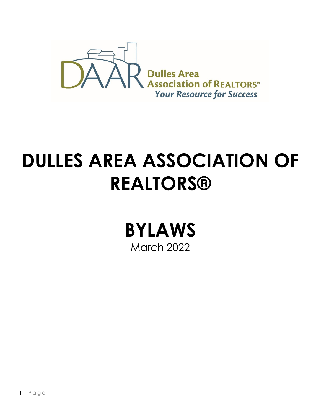

# **DULLES AREA ASSOCIATION OF REALTORS®**

**BYLAWS** March 2022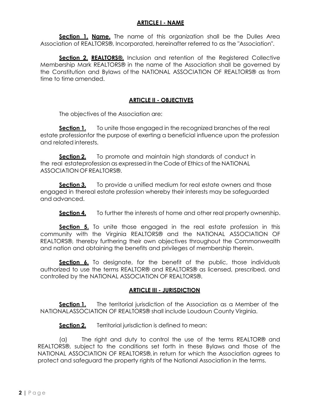# **ARTICLE I - NAME**

**Section 1. Name.** The name of this organization shall be the Dulles Area Association of REALTORS®, Incorporated, hereinafter referred to as the "Association".

**Section 2. REALTORS®.** Inclusion and retention of the Registered Collective Membership Mark REALTORS® in the name of the Association shall be governed by the Constitution and Bylaws of the NATIONAL ASSOCIATION OF REALTORS® as from time to time amended.

## **ARTICLE II - OBJECTIVES**

The objectives of the Association are:

**Section 1.** To unite those engaged in the recognized branches of the real estate professionfor the purpose of exerting a beneficial influence upon the profession and related interests.

**Section 2.** To promote and maintain high standards of conduct in the real estateprofession as expressed in the Code of Ethics of the NATIONAL ASSOCIATION OF REALTORS®.

**Section 3.** To provide a unified medium for real estate owners and those engaged in thereal estate profession whereby their interests may be safeguarded and advanced.

**Section 4.** To further the interests of home and other real property ownership.

**Section 5.** To unite those engaged in the real estate profession in this community with the Virginia REALTORS® and the NATIONAL ASSOCIATION OF REALTORS®, thereby furthering their own objectives throughout the Commonwealth and nation and obtaining the benefits and privileges of membership therein.

**Section 6.** To designate, for the benefit of the public, those individuals authorized to use the terms REALTOR® and REALTORS® as licensed, prescribed, and controlled by the NATIONAL ASSOCIATION OF REALTORS®.

## **ARTICLE III - JURISDICTION**

**Section 1.** The territorial jurisdiction of the Association as a Member of the NATIONALASSOCIATION OF REALTORS® shall include Loudoun County Virginia.

**Section 2.** Territorial jurisdiction is defined to mean:

(a) The right and duty to control the use of the terms REALTOR® and REALTORS®, subject to the conditions set forth in these Bylaws and those of the NATIONAL ASSOCIATION OF REALTORS®, in return for which the Association agrees to protect and safeguard the property rights of the National Association in the terms.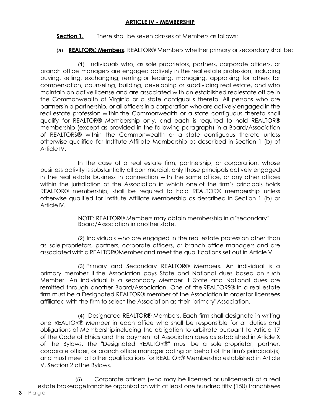# **ARTICLE IV - MEMBERSHIP**

**Section 1.** There shall be seven classes of Members as follows:

(a) **REALTOR® Members**. REALTOR® Members whether primary or secondary shall be:

(1) Individuals who, as sole proprietors, partners, corporate officers, or branch office managers are engaged actively in the real estate profession, including buying, selling, exchanging, renting or leasing, managing, appraising for others for compensation, counseling, building, developing or subdividing real estate, and who maintain an active license and are associated with an established realestate office in the Commonwealth of Virginia or a state contiguous thereto. All persons who are partnersin a partnership, or all officers in a corporation who are actively engaged in the real estate profession within the Commonwealth or a state contiguous thereto shall qualify for REALTOR® Membership only, and each is required to hold REALTOR® membership (except as provided in the following paragraph) in a Board/Association of REALTORS® within the Commonwealth or a state contiguous thereto unless otherwise qualified for Institute Affiliate Membership as described in Section 1 (b) of Article IV.

In the case of a real estate firm, partnership, or corporation, whose business activity is substantially all commercial, only those principals actively engaged in the real estate business in connection with the same office, or any other offices within the jurisdiction of the Association in which one of the firm's principals holds REALTOR® membership, shall be required to hold REALTOR® membership unless otherwise qualified for Institute Affiliate Membership as described in Section 1 (b) or ArticleIV.

> NOTE: REALTOR® Members may obtain membership in a "secondary" Board/Association in another state.

(2) Individuals who are engaged in the real estate profession other than as sole proprietors, partners, corporate officers, or branch office managers and are associated with a REALTOR®Member and meet the qualifications set out in Article V.

(3) Primary and Secondary REALTOR® Members. An individual is a primary member if the Association pays State and National dues based on such Member. An individual is a secondary Member if State and National dues are remitted through another Board/Association. One of the REALTORS® in a real estate firm must be a Designated REALTOR® member of the Association in orderfor licensees affiliated with the firm to select the Association as their "primary"Association.

(4) Designated REALTOR® Members. Each firm shall designate in writing one REALTOR® Member in each office who shall be responsible for all duties and obligations of Membershipincluding the obligation to arbitrate pursuant to Article 17 of the Code of Ethics and the payment of Association dues as established in Article X of the Bylaws. The "Designated REALTOR®" must be a sole proprietor, partner, corporate officer, or branch office manager acting on behalf of the firm's principals(s) and must meet all other qualifications for REALTOR® Membership established in Article V, Section 2 ofthe Bylaws.

(5) Corporate officers (who may be licensed or unlicensed) of a real estate brokeragefranchise organization with at least one hundred fifty (150) franchisees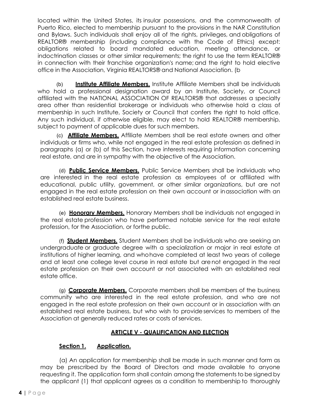located within the United States, its insular possessions, and the commonwealth of Puerto Rico, elected to membership pursuant to the provisions in the NAR Constitution and Bylaws. Such individuals shall enjoy all of the rights, privileges, and obligations of REALTOR® membership (including compliance with the Code of Ethics) except: obligations related to board mandated education, meeting attendance, or indoctrination classes or other similar requirements; the right to use the term REALTOR® in connection with their franchise organization's name; and the right to hold elective office in the Association, Virginia REALTORS® and National Association. (b

(b) **Institute Affiliate Members.** Institute Affiliate Members shall be individuals who hold a professional designation award by an Institute, Society, or Council affiliated with the NATIONAL ASSOCIATION OF REALTORS® that addresses a specialty area other than residential brokerage or individuals who otherwise hold a class of membership in such Institute, Society or Council that confers the right to hold office. Any such individual, if otherwise eligible, may elect to hold REALTOR® membership, subject to payment of applicable dues for such members.

(c) **Affiliate Members.** Affiliate Members shall be real estate owners and other individuals or firms who, while not engaged in the real estate profession as defined in paragraphs (a) or (b) of this Section, have interests requiring information concerning real estate, and are in sympathy with the objective of the Association.

(d) **Public Service Members.** Public Service Members shall be individuals who are interested in the real estate profession as employees of or affiliated with educational, public utility, government, or other similar organizations, but are not engaged in the real estate profession on their own account or inassociation with an established real estate business.

(e) **Honorary Members.** Honorary Members shall be individuals not engaged in the real estate profession who have performed notable service for the real estate profession, for the Association, or forthe public.

(f) **Student Members.** Student Members shall be individuals who are seeking an undergraduate or graduate degree with a specialization or major in real estate at institutions of higher learning, and whohave completed at least two years of college and at least one college level course in real estate but arenot engaged in the real estate profession on their own account or not associated with an established real estate office.

(g) **Corporate Members.** Corporate members shall be members of the business community who are interested in the real estate profession, and who are not engaged in the real estate profession on their own account or in association with an established real estate business, but who wish to provideservices to members of the Association at generally reduced rates or costs of services.

# **ARTICLE V - QUALIFICATION AND ELECTION**

# **Section 1. Application.**

(a) An application for membership shall be made in such manner and form as may be prescribed by the Board of Directors and made available to anyone requesting it. The application form shall contain among the statements to be signed by the applicant (1) that applicant agrees as a condition to membership to thoroughly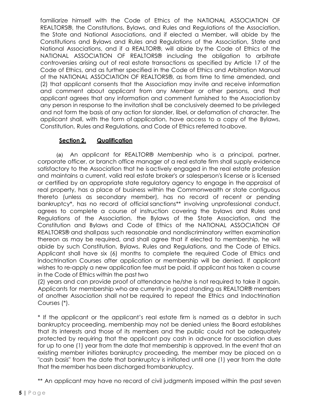familiarize himself with the Code of Ethics of the NATIONAL ASSOCIATION OF REALTORS®, the Constitutions, Bylaws, and Rules and Regulations of the Association, the State and National Associations, and if elected a Member, will abide by the Constitutions and Bylaws and Rules and Regulations of the Association, State and National Associations, and if a REALTOR®, will abide by the Code of Ethics of the NATIONAL ASSOCIATION OF REALTORS® including the obligation to arbitrate controversies arising out of real estate transactions as specified by Article 17 of the Code of Ethics, and as further specified in the Code of Ethics and Arbitration Manual of the NATIONAL ASSOCIATION OF REALTORS®, as from time to time amended, and (2) that applicant consents that the Association may invite and receive information and comment about applicant from any Member or other persons, and that applicant agrees that any information and comment furnished to the Associationby any person in response to the invitation shall be conclusively deemed to be privileged and not form the basis of any action for slander, libel, or defamation of character. The applicant shall, with the form of application, have access to a copy of the Bylaws, Constitution, Rules and Regulations, and Code of Ethics referred toabove.

# **Section 2. Qualification**

(a) An applicant for REALTOR® Membership who is a principal, partner, corporate officer, or branch office manager of a real estate firm shall supply evidence satisfactory to the Association that he isactively engaged in the real estate profession and maintains a current, valid real estate broker's or salesperson's license or is licensed or certified by an appropriate state regulatory agency to engage in the appraisal of real property, has a place of business within the Commonwealth or state contiguous thereto (unless as secondary member), has no record of recent or pending bankruptcy\*, has no record of official sanctions\*\* involving unprofessional conduct, agrees to complete a course of instruction covering the bylaws and Rules and Regulations of the Association, the Bylaws of the State Association, and the Constitution and Bylaws and Code of Ethics of the NATIONAL ASSOCIATION OF REALTORS® and shallpass such reasonable and nondiscriminatory written examination thereon as may be required, and shall agree that if elected to membership, he will abide by such Constitution, Bylaws, Rules and Regulations, and the Code of Ethics. Applicant shall have six (6) months to complete the required Code of Ethics and Indoctrination Courses after application or membership will be denied. If applicant wishes to re-apply a new application fee must be paid. If applicant has taken a course in the Code of Ethics within the past two

(2) years and can provide proof of attendance he/she is not required to take it again. Applicants for membership who are currently in good standing as REALTOR® members of another Association shall not be required to repeat the Ethics and Indoctrination Courses (\*).

\* If the applicant or the applicant's real estate firm is named as a debtor in such bankruptcy proceeding, membership may not be denied unless the Board establishes that its interests and those of its members and the public could not be adequately protected by requiring that the applicant pay cash in advance for association dues for up to one (1) year from the date that membership is approved. In the event that an existing member initiates bankruptcy proceeding, the member may be placed on a "cash basis" from the date that bankruptcy is initiated until one (1) year from the date that the member has been discharged frombankruptcy.

\*\* An applicant may have no record of civil judgments imposed within the past seven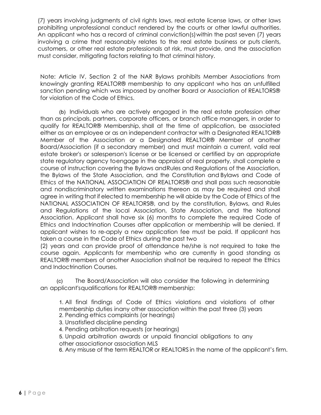(7) years involving judgments of civil rights laws, real estate license laws, or other laws prohibiting unprofessional conduct rendered by the courts or other lawful authorities. An applicant who has a record of criminal conviction(s)within the past seven (7) years involving a crime that reasonably relates to the real estate business or puts clients, customers, or other real estate professionals at risk, must provide, and the association must consider, mitigating factors relating to that criminal history.

Note: Article IV, Section 2 of the NAR Bylaws prohibits Member Associations from knowingly granting REALTOR® membership to any applicant who has an unfulfilled sanction pending which was imposed by another Board or Association of REALTORS® for violation of the Code of Ethics.

(b) Individuals who are actively engaged in the real estate profession other than as principals, partners, corporate officers, or branch office managers, in order to qualify for REALTOR® Membership, shall at the time of application, be associated either as an employee or as an independent contractor with a Designated REALTOR® Member of the Association or a Designated REALTOR® Member of another Board/Association (if a secondary member) and must maintain a current, valid real estate broker's or salesperson's license or be licensed or certified by an appropriate state regulatory agency toengage in the appraisal of real property, shall complete a course of instruction covering the Bylaws andRules and Regulations of the Association, the Bylaws of the State Association, and the Constitution and Bylaws and Code of Ethics of the NATIONAL ASSOCIATION OF REALTORS® and shall pass such reasonable and nondiscriminatory written examinations thereon as may be required and shall agree in writing that if elected to membership he will abide by the Code of Ethics of the NATIONAL ASSOCIATION OF REALTORS®, and by the constitution, Bylaws, and Rules and Regulations of the local Association, State Association, and the National Association. Applicant shall have six (6) months to complete the required Code of Ethics and Indoctrination Courses after application or membership will be denied. If applicant wishes to re-apply a new application fee must be paid. If applicant has taken a course in the Code of Ethics during the past two

(2) years and can provide proof of attendance he/she is not required to take the course again. Applicants for membership who are currently in good standing as REALTOR® members of another Association shallnot be required to repeat the Ethics and Indoctrination Courses.

(c) The Board/Association will also consider the following in determining an applicant'squalifications for REALTOR® membership:

1. All final findings of Code of Ethics violations and violations of other membership duties inany other association within the past three (3) years

- 2. Pending ethics complaints (or hearings)
- 3. Unsatisfied discipline pending
- 4. Pending arbitration requests (or hearings)
- 5. Unpaid arbitration awards or unpaid financial obligations to any other associationor association MLS

6. Any misuse of the term REALTOR or REALTORS in the name of the applicant's firm.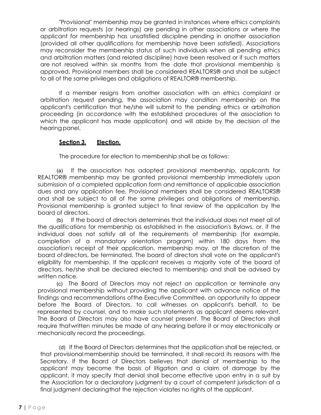"Provisional" membership may be granted in instances where ethics complaints or arbitration requests (or hearings) are pending in other associations or where the applicant for membership has unsatisfied discipline pending in another association (provided all other qualifications for membership have been satisfied). Associations may reconsider the membership status of such individuals when all pending ethics and arbitration matters (and related discipline) have been resolved or if such matters are not resolved within six months from the date that provisional membership is approved. Provisional members shall be considered REALTORS® and shall be subject to all of the same privileges and obligations of REALTOR® membership.

If a member resigns from another association with an ethics complaint or arbitration request pending, the association may condition membership on the applicant's certification that he/she will submit to the pending ethics or arbitration proceeding (in accordance with the established procedures of the association to which the applicant has made application) and will abide by the decision of the hearing panel.

## **Section 3. Election.**

The procedure for election to membership shall be as follows:

(a) If the association has adopted provisional membership, applicants for REALTOR® membership may be granted provisional membership immediately upon submission of a completed application form and remittance of applicable association dues and any application fee. Provisional members shall be considered REALTORS® and shall be subject to all of the same privileges and obligations of membership. Provisional membership is granted subject to final review of the application by the board of directors.

(b) If the board of directors determines that the individual does not meet all of the qualifications for membership as established in the association's Bylaws, or, if the individual does not satisfy all of the requirements of membership (for example, completion of a mandatory orientation program) within 180 days from the association's receipt of their application, membership may, at the discretion of the board ofdirectors, be terminated. The board of directors shall vote on the applicant's eligibility for membership. If the applicant receives a majority vote of the board of directors, he/she shall be declared elected to membership and shall be advised by written notice.

(c) The Board of Directors may not reject an application or terminate any provisional membership without providing the applicant with advance notice of the findings and recommendations ofthe Executive Committee, an opportunity to appear before the Board of Directors, to call witnesses on applicant's behalf, to be represented by counsel, and to make such statements as applicant deems relevant. The Board of Directors may also have counsel present. The Board of Directors shall require thatwritten minutes be made of any hearing before it or may electronically or mechanically record the proceedings.

(d) If the Board of Directors determines that the application shall be rejected, or that provisional membership should be terminated, it shall record its reasons with the Secretary. If the Board of Directors believes that denial of membership to the applicant may become the basis of litigation and a claim of damage by the applicant, it may specify that denial shall become effective upon entry in a suit by the Association for a declaratory judgment by a court of competent jurisdiction of a final judgment declaringthat the rejection violates no rights of the applicant.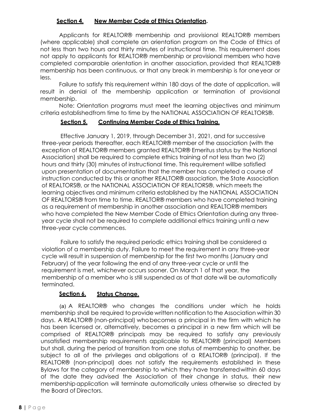## **Section 4. New Member Code of Ethics Orientation.**

Applicants for REALTOR® membership and provisional REALTOR® members (where applicable) shall complete an orientation program on the Code of Ethics of not less than two hours and thirty minutes of instructional time. This requirement does not apply to applicants for REALTOR® membership or provisional members who have completed comparable orientation in another association, provided that REALTOR® membership has been continuous, or that any break in membership is for oneyear or less.

Failure to satisfy this requirement within 180 days of the date of application, will result in denial of the membership application or termination of provisional membership.

Note: Orientation programs must meet the learning objectives and minimum criteria establishedfrom time to time by the NATIONAL ASSOCIATION OF REALTORS®.

## **Section 5. Continuing Member Code of Ethics Training.**

Effective January 1, 2019, through December 31, 2021, and for successive three-year periods thereafter, each REALTOR® member of the association (with the exception of REALTOR® members granted REALTOR® Emeritus status by the National Association) shall be required to complete ethics training of not less than two (2) hours and thirty (30) minutes of instructional time. This requirement willbe satisfied upon presentation of documentation that the member has completed a course of instruction conducted by this or another REALTOR® association, the State Association of REALTORS®, or the NATIONAL ASSOCIATION OF REALTORS®, which meets the learning objectives and minimum criteria established by the NATIONAL ASSOCIATION OF REALTORS® from time to time. REALTOR® members who have completed training as a requirement of membership in another association and REALTOR® members who have completed the New Member Code of Ethics Orientation during any threeyear cycle shall not be required to complete additional ethics training until a new three-year cycle commences.

Failure to satisfy the required periodic ethics training shall be considered a violation of a membership duty. Failure to meet the requirement in any three-year cycle will result in suspension of membership for the first two months (January and February) of the year following the end of any three-year cycle or until the requirement is met, whichever occurs sooner. On March 1 of that year, the membership of a member who is still suspended as of that date will be automatically terminated.

# **Section 6. Status Change.**

(a) A REALTOR® who changes the conditions under which he holds membership shall be required to provide written notification to the Association within 30 days. A REALTOR® (non-principal) whobecomes a principal in the firm with which he has been licensed or, alternatively, becomes a principal in a new firm which will be comprised of REALTOR® principals may be required to satisfy any previously unsatisfied membership requirements applicable to REALTOR® (principal) Members but shall, during the period of transition from one status of membership to another, be subject to all of the privileges and obligations of a REALTOR® (principal). If the REALTOR® (non-principal) does not satisfy the requirements established in these Bylaws for the category of membership to which they have transferredwithin 60 days of the date they advised the Association of their change in status, their new membershipapplication will terminate automatically unless otherwise so directed by the Board of Directors.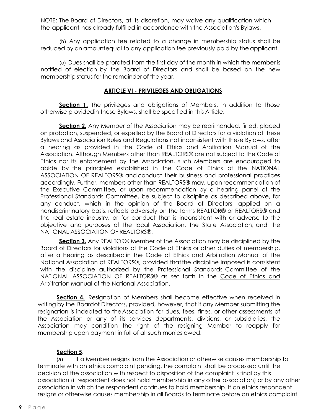NOTE: The Board of Directors, at its discretion, may waive any qualification which the applicant has already fulfilled in accordance with the Association's Bylaws.

(b) Any application fee related to a change in membership status shall be reduced by an amountequal to any application fee previously paid by the applicant.

(c) Dues shall be prorated from the first day of the month in which the member is notified of election by the Board of Directors and shall be based on the new membership status for the remainder of the year.

## **ARTICLE VI - PRIVILEGES AND OBLIGATIONS**

**Section 1.** The privileges and obligations of Members, in addition to those otherwise providedin these Bylaws, shall be specified in this Article.

**Section 2.** Any Member of the Association may be reprimanded, fined, placed on probation, suspended, or expelled by the Board of Directors for a violation of these Bylaws and Association Rules and Regulations not inconsistent with these Bylaws, after a hearing as provided in the Code of Ethics and Arbitration Manual of the Association. Although Members other than REALTORS® are not subject to the Code of Ethics nor its enforcement by the Association, such Members are encouraged to abide by the principles established in the Code of Ethics of the NATIONAL ASSOCIATION OF REALTORS® and conduct their business and professional practices accordingly. Further, members other than REALTORS® may, upon recommendation of the Executive Committee, or upon recommendation by a hearing panel of the Professional Standards Committee, be subject to discipline as described above, for any conduct, which in the opinion of the Board of Directors, applied on a nondiscriminatory basis, reflects adversely on the terms REALTOR® or REALTORS® and the real estate industry, or for conduct that is inconsistent with or adverse to the objective and purposes of the local Association, the State Association, and the NATIONAL ASSOCIATION OF REALTORS®.

**Section 3.** Any REALTOR® Member of the Association may be disciplined by the Board of Directors for violations of the Code of Ethics or other duties of membership, after a hearing as described in the Code of Ethics and Arbitration Manual of the National Association of REALTORS®, provided thatthe discipline imposed is consistent with the discipline authorized by the Professional Standards Committee of the NATIONAL ASSOCIATION OF REALTORS® as set forth in the Code of Ethics and Arbitration Manual of the National Association.

**Section 4.** Resignation of Members shall become effective when received in writing by the Boardof Directors, provided, however, that if any Member submitting the resignation is indebted to theAssociation for dues, fees, fines, or other assessments of the Association or any of its services, departments, divisions, or subsidiaries, the Association may condition the right of the resigning Member to reapply for membership upon payment in full of all such monies owed.

# **Section 5**.

(a) If a Member resigns from the Association or otherwise causes membership to terminate with an ethics complaint pending, the complaint shall be processed until the decision of the association with respect to disposition of the complaint is final by this association (if respondent does not hold membership in any other association) or by any other association in which the respondent continues to hold membership. If an ethics respondent resigns or otherwise causes membership in all Boards to terminate before an ethics complaint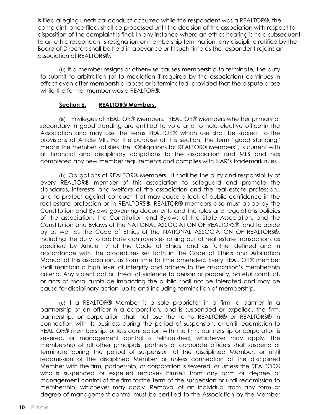is filed alleging unethical conduct occurred while the respondent was a REALTOR®, the complaint, once filed, shall be processed until the decision of the association with respect to disposition of the complaint is final. In any instance where an ethics hearing is held subsequent to an ethic respondent's resignation or membership termination, any discipline ratified by the Board of Directors shall be held in abeyance until such time as the respondent rejoins an association of REALTORS®.

(b) If a member resigns or otherwise causes membership to terminate, the duty to submit to arbitration (or to mediation if required by the association) continues in effect even after membership lapses or is terminated, provided that the dispute arose while the former member was a REALTOR®.

## **Section 6. REALTOR® Members.**

(a) Privileges of REALTOR® Members. REALTOR® Members whether primary or secondary in good standing are entitled to vote and to hold elective office in the Association and may use the terms REALTOR® which use shall be subject to the provisions of Article VIII. For the purpose of this section, the term "good standing" means the member satisfies the "Obligations for REALTOR® Members", is current with all financial and disciplinary obligations to the association and MLS and has completed any new member requirements and complies with NAR's trademark rules.

(b) Obligations of REALTOR® Members. It shall be the duty and responsibility of every REALTOR® member of this association to safeguard and promote the standards, interests, and welfare of the association and the real estate profession., and to protect against conduct that may cause a lack of public confidence in the real estate profession or in REALTORS®. REALTOR® members also must abide by the Constitution and Bylaws governing documents and the rules and regulations policies of the association, the Constitution and Bylaws of the State Association, and the Constitution and Bylaws of the NATIONAL ASSOCIATION OF REALTORS®, and to abide by as well as the Code of Ethics of the NATIONAL ASSOCIATION OF REALTORS®, including the duty to arbitrate controversies arising out of real estate transactions as specified by Article 17 of the Code of Ethics, and as further defined and in accordance with the procedures set forth in the Code of Ethics and Arbitration Manual of this association, as from time to time amended. Every REALTOR® member shall maintain a high level of integrity and adhere to the association's membership criteria. Any violent act or threat of violence to person or property, hateful conduct, or acts of moral turpitude impacting the public shall not be tolerated and may be cause for disciplinary action, up to and including termination of membership.

(c) If a REALTOR® Member is a sole proprietor in a firm, a partner in a partnership or an officer in a corporation, and is suspended or expelled, the firm, partnership, or corporation shall not use the terms REALTOR® or REALTORS® in connection with its business during the period of suspension, or until readmission to REALTOR® membership, unless connection with the firm, partnership or corporation is severed, or management control is relinquished, whichever may apply. The membership of all other principals, partners or corporate officers shall suspend or terminate during the period of suspension of the disciplined Member, or until readmission of the disciplined Member or unless connection of the disciplined Member with the firm, partnership, or corporation is severed, or unless the REALTOR® who is suspended or expelled removes himself from any form or degree of management control of the firm forthe term of the suspension or until readmission to membership, whichever may apply. Removal of an individual from any form or degree of management control must be certified to the Association by the Member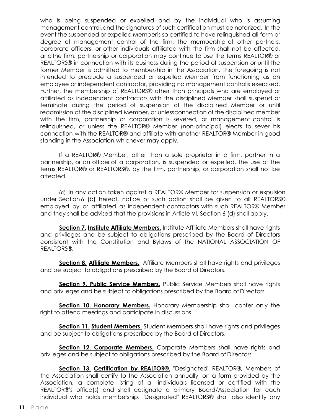who is being suspended or expelled and by the individual who is assuming management control,and the signatures of such certification must be notarized. In the event the suspended or expelled Memberis so certified to have relinquished all form or degree of management control of the firm, the membership of other partners, corporate officers, or other individuals affiliated with the firm shall not be affected, andthe firm, partnership or corporation may continue to use the terms REALTOR® or REALTORS® in connection with its business during the period of suspension or until the former Member is admitted to membership in the Association. The foregoing is not intended to preclude a suspended or expelled Member from functioning as an employee or independent contractor, providing no management controlis exercised. Further, the membership of REALTORS® other than principals who are employed or affiliated as independent contractors with the disciplined Member shall suspend or terminate during the period of suspension of the disciplined Member or until readmission of the disciplined Member, or unlessconnection of the disciplined member with the firm, partnership or corporation is severed, or management control is relinquished, or unless the REALTOR® Member (non-principal) elects to sever his connection with the REALTOR® and affiliate with another REALTOR® Member in good standing in the Association,whichever may apply.

If a REALTOR® Member, other than a sole proprietor in a firm, partner in a partnership, or an officer of a corporation, is suspended or expelled, the use of the terms REALTOR® or REALTORS®, by the firm, partnership, or corporation shall not be affected.

(d) In any action taken against a REALTOR® Member for suspension or expulsion under Section 6 (b) hereof, notice of such action shall be given to all REALTORS® employed by or affiliated as independent contractors with such REALTOR® Member and they shall be advised that the provisions in Article VI, Section 6 (d) shall apply.

**Section 7. Institute Affiliate Members.** Institute Affiliate Members shall have rights and privileges and be subject to obligations prescribed by the Board of Directors consistent with the Constitution and Bylaws of the NATIONAL ASSOCIATION OF REALTORS®.

**Section 8. Affiliate Members.** Affiliate Members shall have rights and privileges and be subject to obligations prescribed by the Board of Directors.

**Section 9. Public Service Members.** Public Service Members shall have rights and privileges and be subject to obligations prescribed by the Board of Directors.

**Section 10. Honorary Members.** Honorary Membership shall confer only the right to attend meetings and participate in discussions.

**Section 11. Student Members.** Student Members shall have rights and privileges and be subject to obligations prescribed by the Board of Directors.

**Section 12. Corporate Members.** Corporate Members shall have rights and privileges and be subject to obligations prescribed by the Board of Directors

**Section 13. Certification by REALTOR®.** "Designated" REALTOR®, Members of the Association shall certify to the Association annually, on a form provided by the Association, a complete listing of all individuals licensed or certified with the REALTOR®'s office(s) and shall designate a primary Board/Association for each individual who holds membership. "Designated" REALTORS® shall also identify any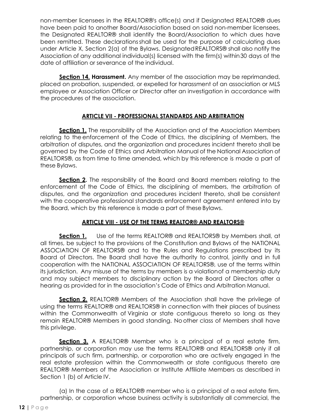non-member licensees in the REALTOR®'s office(s) and if Designated REALTOR® dues have been paid to another Board/Association based on said non-member licensees, the Designated REALTOR® shall identify the Board/Association to which dues have been remitted. These declarationsshall be used for the purpose of calculating dues under Article X, Section 2(a) of the Bylaws. DesignatedREALTORS® shall also notify the Association of any additional individual(s) licensed with the firm(s) within 30 days of the date of affiliation or severance of the individual.

**Section 14. Harassment.** Any member of the association may be reprimanded, placed on probation, suspended, or expelled for harassment of an association or MLS employee or Association Officer or Director after an investigation in accordance with the procedures of the association.

# **ARTICLE VII - PROFESSIONAL STANDARDS AND ARBITRATION**

**Section 1.** The responsibility of the Association and of the Association Members relating to the enforcement of the Code of Ethics, the disciplining of Members, the arbitration of disputes, and the organization and procedures incident thereto shall be governed by the Code of Ethics and Arbitration Manual of the National Association of REALTORS®, as from time to time amended, which by this reference is made a part of these Bylaws.

**Section 2.** The responsibility of the Board and Board members relating to the enforcement of the Code of Ethics, the disciplining of members, the arbitration of disputes, and the organization and procedures incident thereto, shall be consistent with the cooperative professional standards enforcement agreement entered into by the Board, which by this reference is made a part of these Bylaws.

# **ARTICLE VIII - USE OF THE TERMS REALTOR® AND REALTORS®**

**Section 1.** Use of the terms REALTOR® and REALTORS® by Members shall, at all times, be subject to the provisions of the Constitution and Bylaws of the NATIONAL ASSOCIATION OF REALTORS® and to the Rules and Regulations prescribed by its Board of Directors. The Board shall have the authority to control, jointly and in full cooperation with the NATIONAL ASSOCIATION OF REALTORS®, use of the terms within its jurisdiction. Any misuse of the terms by members is a violationof a membership duty and may subject members to disciplinary action by the Board of Directors after a hearing as provided for in the association's Code of Ethics and Arbitration Manual.

**Section 2.** REALTOR® Members of the Association shall have the privilege of using the terms REALTOR® and REALTORS® in connection with their places of business within the Commonwealth of Virginia or state contiguous thereto so long as they remain REALTOR® Members in good standing. Noother class of Members shall have this privilege.

**Section 3.** A REALTOR® Member who is a principal of a real estate firm, partnership, or corporation may use the terms REALTOR® and REALTORS® only if all principals of such firm, partnership, or corporation who are actively engaged in the real estate profession within the Commonwealth or state contiguous thereto are REALTOR® Members of the Association or Institute Affiliate Members as described in Section 1 (b) of Article IV.

(a) In the case of a REALTOR® member who is a principal of a real estate firm, partnership, or corporation whose business activity is substantially all commercial, the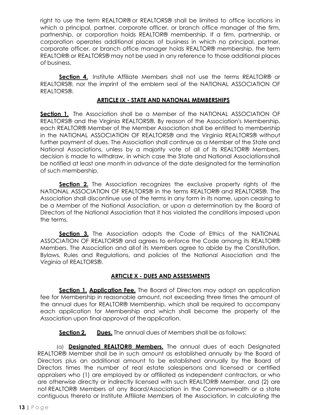right to use the term REALTOR® or REALTORS® shall be limited to office locations in which a principal, partner, corporate officer, or branch office manager of the firm, partnership, or corporation holds REALTOR® membership. If a firm, partnership, or corporation operates additional places of business in which no principal, partner, corporate officer, or branch office manager holds REALTOR® membership, the term REALTOR® or REALTORS® may not be used in any reference to those additional places of business.

**Section 4.** Institute Affiliate Members shall not use the terms REALTOR® or REALTORS®, nor the imprint of the emblem seal of the NATIONAL ASSOCIATION OF REALTORS®.

## **ARTICLE IX - STATE AND NATIONAL MEMBERSHIPS**

**Section 1.** The Association shall be a Member of the NATIONAL ASSOCIATION OF REALTORS® and the Virginia REALTORS®. By reason of the Association's Membership, each REALTOR® Member of the Member Association shall be entitled to membership in the NATIONAL ASSOCIATION OF REALTORS® and the Virginia REALTORS® without further payment of dues. The Association shall continue as a Member of the State and National Associations, unless by a majority vote of all of its REALTOR® Members, decision is made to withdraw, in which case the State and National Associationsshall be notified at least one month in advance of the date designated for the termination of such membership.

**Section 2.** The Association recognizes the exclusive property rights of the NATIONAL ASSOCIATION OF REALTORS® in the terms REALTOR® and REALTORS®. The Association shall discontinue use of the terms in any form in its name, upon ceasing to be a Member of the National Association, or upon a determination by the Board of Directors of the National Association that it has violated the conditions imposed upon the terms.

**Section 3.** The Association adopts the Code of Ethics of the NATIONAL ASSOCIATION OF REALTORS® and agrees to enforce the Code among its REALTOR® Members. The Association and allof its Members agree to abide by the Constitution, Bylaws, Rules and Regulations, and policies of the National Association and the Virginia of REALTORS®.

# **ARTICLE X - DUES AND ASSESSMENTS**

**Section 1. Application Fee.** The Board of Directors may adopt an application fee for Membership in reasonable amount, not exceeding three times the amount of the annual dues for REALTOR® Membership, which shall be required to accompany each application for Membership and which shall become the property of the Association upon final approval of the application.

**Section 2. Dues.** The annual dues of Members shall be as follows:

(a) **Designated REALTOR® Members.** The annual dues of each Designated REALTOR® Member shall be in such amount as established annually by the Board of Directors plus an additional amount to be established annually by the Board of Directors times the number of real estate salespersons and licensed or certified appraisers who (1) are employed by or affiliated as independent contractors, or who are otherwise directly or indirectly licensed with such REALTOR® Member, and (2) are not REALTOR® Members of any Board/Association in the Commonwealth or a state contiguous thereto or Institute Affiliate Members of the Association. In calculating the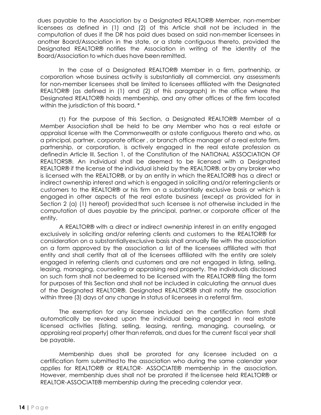dues payable to the Association by a Designated REALTOR® Member, non-member licensees as defined in (1) and (2) of this Article shall not be included in the computation of dues if the DR has paid dues based on said non-member licensees in another Board/Association in the state, or a state contiguous thereto, provided the Designated REALTOR® notifies the Association in writing of the identity of the Board/Association to which dues have been remitted.

In the case of a Designated REALTOR® Member in a firm, partnership, or corporation whose business activity is substantially all commercial, any assessments for non-member licensees shall be limited to licensees affiliated with the Designated REALTOR® (as defined in (1) and (2) of this paragraph) in the office where the Designated REALTOR® holds membership, and any other offices of the firm located within the jurisdiction of this board. \*

(1) For the purpose of this Section, a Designated REALTOR® Member of a Member Association shall be held to be any Member who has a real estate or appraisal license with the Commonwealth or astate contiguous thereto and who, as a principal, partner, corporate officer , or branch office manager of a real estate firm, partnership, or corporation, is actively engaged in the real estate profession as definedin Article III, Section 1, of the Constitution of the NATIONAL ASSOCIATION OF REALTORS®. An individual shall be deemed to be licensed with a Designated REALTOR® if the license of the individual isheld by the REALTOR®, or by any broker who is licensed with the REALTOR®, or by an entity in which the REALTOR® has a direct or indirect ownership interest and which is engaged in soliciting and/or referringclients or customers to the REALTOR® or his firm on a substantially exclusive basis or which is engaged in other aspects of the real estate business (except as provided for in Section 2 (a) (1) hereof) provided that such licensee is not otherwise included in the computation of dues payable by the principal, partner, or corporate officer of the entity.

A REALTOR® with a direct or indirect ownership interest in an entity engaged exclusively in soliciting and/or referring clients and customers to the REALTOR® for consideration on a substantiallyexclusive basis shall annually file with the association on a form approved by the association a list of the licensees affiliated with that entity and shall certify that all of the licensees affiliated with the entity are solely engaged in referring clients and customers and are not engaged in listing, selling, leasing, managing, counseling or appraising real property. The individuals disclosed on such form shall not bedeemed to be licensed with the REALTOR® filing the form for purposes of this Section and shall not be included in calculating the annual dues of the Designated REALTOR®. Designated REALTORS® shall notify the association within three (3) days of any change in status of licensees in a referral firm.

The exemption for any licensee included on the certification form shall automatically be revoked upon the individual being engaged in real estate licensed activities (listing, selling, leasing, renting, managing, counseling, or appraising real property) other than referrals, and dues for the current fiscal year shall be payable.

Membership dues shall be prorated for any licensee included on a certification form submittedto the association who during the same calendar year applies for REALTOR® or REALTOR- ASSOCIATE® membership in the association. However, membership dues shall not be prorated if the licensee held REALTOR® or REALTOR-ASSOCIATE® membership during the preceding calendar year.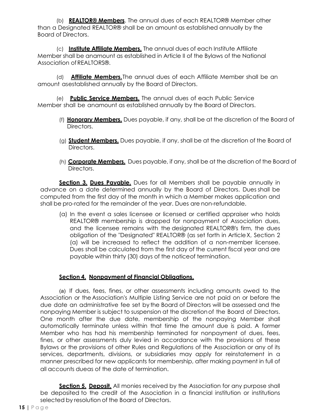(b) **REALTOR® Members**. The annual dues of each REALTOR® Member other than a Designated REALTOR® shall be an amount as established annually by the Board of Directors.

(c) **Institute Affiliate Members.** The annual dues of each Institute Affiliate Member shall be anamount as established in Article II of the Bylaws of the National Association ofREALTORS®.

(d) **Affiliate Members.**The annual dues of each Affiliate Member shall be an amount asestablished annually by the Board of Directors.

(e) **Public Service Members.** The annual dues of each Public Service Member shall be anamount as established annually by the Board of Directors.

- (f) **Honorary Members.** Dues payable, if any, shall be at the discretion of the Board of Directors.
- (g) **Student Members.** Dues payable, if any, shall be at the discretion of the Board of Directors.
- (h) **Corporate Members.** Dues payable, if any, shall be at the discretion of the Board of Directors.

**Section 3. Dues Payable.** Dues for all Members shall be payable annually in advance on a date determined annually by the Board of Directors. Dues shall be computed from the first day of the month in which a Member makes application and shall be pro-rated for the remainder of the year. Dues are non-refundable.

(a) In the event a sales licensee or licensed or certified appraiser who holds REALTOR® membership is dropped for nonpayment of Association dues, and the licensee remains with the designated REALTOR®'s firm, the dues obligation of the "Designated" REALTOR® (as set forth in ArticleX, Section 2 (a) will be increased to reflect the addition of a non-member licensee. Dues shall be calculated from the first day of the current fiscal year and are payable within thirty (30) days of the noticeof termination.

# **Section 4. Nonpayment of Financial Obligations.**

(a) If dues, fees, fines, or other assessments including amounts owed to the Association or the Association's Multiple Listing Service are not paid on or before the due date an administrative fee set by the Board of Directors will be assessed and the nonpaying Member is subject to suspension at the discretionof the Board of Directors. One month after the due date, membership of the nonpaying Member shall automatically terminate unless within that time the amount due is paid. A former Member who has had his membership terminated for nonpayment of dues, fees, fines, or other assessments duly levied in accordance with the provisions of these Bylaws or the provisions of other Rules and Regulations of the Association or any of its services, departments, divisions, or subsidiaries may apply for reinstatement in a manner prescribed for new applicants for membership, after making payment in full of all accounts due as of the date of termination.

**Section 5. Deposit.** All monies received by the Association for any purpose shall be deposited to the credit of the Association in a financial institution or institutions selected by resolution of the Board of Directors.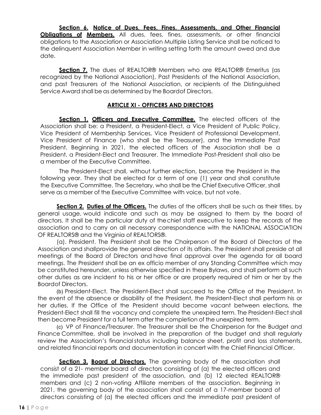**Section 6. Notice of Dues, Fees, Fines, Assessments, and Other Financial Obligations of Members.** All dues, fees, fines, assessments, or other financial obligations to the Association or Association Multiple Listing Service shall be noticed to the delinquent Association Member in writing setting forth the amount owed and due date.

**Section 7.** The dues of REALTOR® Members who are REALTOR® Emeritus (as recognized by the National Association), Past Presidents of the National Association, and past Treasurers of the National Association, or recipients of the Distinguished Service Award shall be as determined by the Boardof Directors.

## **ARTICLE XI - OFFICERS AND DIRECTORS**

**Section 1. Officers and Executive Committee.** The elected officers of the Association shall be: a President, a President-Elect, a Vice President of Public Policy, Vice President of Membership Services, Vice President of Professional Development, Vice President of Finance (who shall be the Treasurer), and the Immediate Past President. Beginning in 2021, the elected officers of the Association shall be a President, a President-Elect and Treasurer. The Immediate Past-President shall also be a member of the Executive Committee.

The President-Elect shall, without further election, become the President in the following year. They shall be elected for a term of one (1) year and shall constitute the Executive Committee. The Secretary, who shall be the Chief Executive Officer, shall serve as a member of the Executive Committee with voice, but not vote.

**Section 2. Duties of the Officers.** The duties of the officers shall be such as their titles, by general usage, would indicate and such as may be assigned to them by the board of directors. It shall be the particular duty of thechief staff executive to keep the records of the association and to carry on all necessary correspondence with the NATIONAL ASSOCIATION OF REALTORS® and the Virginia of REALTORS®.

(a). President. The President shall be the Chairperson of the Board of Directors of the Association and shall provide the general direction of its affairs. The President shall preside at all meetings of the Board of Directors and have final approval over the agenda for all board meetings. The President shall be an ex officio member of any Standing Committee which may be constituted hereunder, unless otherwise specified in these Bylaws, and shall perform all such other duties as are incident to his or her office or are properly required of him or her by the Boardof Directors.

(b) President-Elect. The President-Elect shall succeed to the Office of the President. In the event of the absence or disability of the President, the President-Elect shall perform his or her duties. If the Office of the President should become vacant between elections, the President-Elect shall fill the vacancy and complete the unexpired term. The President-Elect shall then become President for a full term after the completion of the unexpired term.

(c) VP of Finance/Treasurer. The Treasurer shall be the Chairperson for the Budget and Finance Committee, shall be involved in the preparation of the budget and shall regularly review the Association's financial status including balance sheet, profit and loss statements, and related financial reports and documentation in concert with the Chief Financial Officer.

**Section 3. Board of Directors.** The governing body of the association shall consist of a 21- member board of directors consisting of (a) the elected officers and the immediate past president of the association, and (b) 12 elected REALTOR® members and (c) 2 non-voting Affiliate members of the association. Beginning in 2021, the governing body of the association shall consist of a 17-member board of directors consisting of (a) the elected officers and the immediate past president of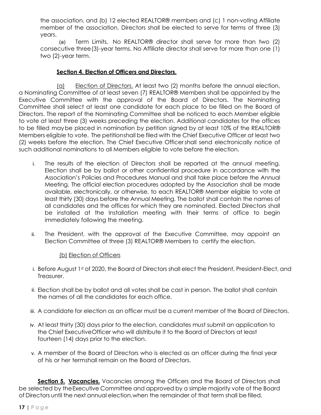the association, and (b) 12 elected REALTOR® members and (c) 1 non-voting Affiliate member of the association. Directors shall be elected to serve for terms of three (3) years.

(a) Term Limits. No REALTOR® director shall serve for more than two (2) consecutive three (3)-year terms. No Affiliate director shall serve for more than one (1) two (2)-year term.

# **Section 4. Election of Officers and Directors.**

(a) Election of Directors. At least two (2) months before the annual election, a Nominating Committee of at least seven (7) REALTOR® Members shall be appointed by the Executive Committee with the approval of the Board of Directors. The Nominating Committee shall select at least one candidate for each place to be filled on the Board of Directors. The report of the Nominating Committee shall be noticed to each Member eligible to vote at least three (3) weeks preceding the election. Additional candidates for the offices to be filled maybe placed in nomination by petition signed by at least 10% of the REALTOR® Members eligible to vote. The petitionshall be filed with the Chief Executive Officer at least two (2) weeks before the election. The Chief Executive Officershall send electronically notice of such additional nominations to all Members eligible to vote before the election.

- i. The results of the election of Directors shall be reported at the annual meeting. Election shall be by ballot or other confidential procedure in accordance with the Association's Policies and Procedures Manual and shall take place before the Annual Meeting. The official election procedures adopted by the Association shall be made available, electronically, or otherwise, to each REALTOR® Member eligible to vote at least thirty (30) days before the Annual Meeting. The ballot shall contain the names of all candidates and the offices for which they are nominated. Elected Directors shall be installed at the Installation meeting with their terms of office to begin immediately following the meeting.
- ii. The President, with the approval of the Executive Committee, may appoint an Election Committee of three (3) REALTOR® Members to certify the election.

(b) Election of Officers

- i. Before August 1st of 2020, the Board of Directors shall elect the President, President-Elect, and Treasurer.
- ii. Election shall be by ballot and all votes shall be cast in person. The ballot shall contain the names of all the candidates for each office.
- iii. A candidate for election as an officer must be a current member of the Board of Directors.
- iv. At least thirty (30) days prior to the election, candidates must submit an application to the Chief ExecutiveOfficer who will distribute it to the Board of Directors at least fourteen (14) days prior to the election.
- v. A member of the Board of Directors who is elected as an officer during the final year of his or her termshall remain on the Board of Directors.

**Section 5. Vacancies.** Vacancies among the Officers and the Board of Directors shall be selected by theExecutive Committee and approved by a simple majority vote of the Board of Directors until the next annual election,when the remainder of that term shall be filled.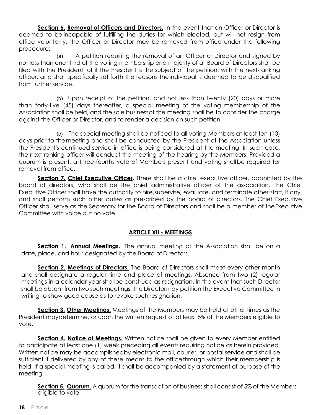**Section 6. Removal of Officers and Directors.** In the event that an Officer or Director is deemed to be incapable of fulfilling the duties for which elected, but will not resign from office voluntarily, the Officer or Director may be removed from office under the following procedure:

(a) A petition requiring the removal of an Officer or Director and signed by not less than one- third of the voting membership or a majority of all Board of Directors shall be filed with the President, of if the President is the subject of the petition, with the next-ranking officer, and shall specifically set forth the reasons theindividual is deemed to be disqualified from further service.

(b) Upon receipt of the petition, and not less than twenty (20) days or more than forty-five (45) days thereafter, a special meeting of the voting membership of the Association shall be held, and the sole businessof the meeting shall be to consider the charge against the Officer or Director, and to render a decision on such petition.

(c) The special meeting shall be noticed to all voting Members at least ten (10) days prior to themeeting and shall be conducted by the President of the Association unless the President's continued service in office is being considered at the meeting. In such case, the next-ranking officer will conduct the meeting of the hearing by the Members. Provided a quorum is present, a three-fourths vote of Members present and voting shallbe required for removal from office.

**Section 7. Chief Executive Officer.** There shall be a chief executive officer, appointed by the board of directors, who shall be the chief administrative officer of the association. The Chief Executive Officer shall have the authority to hire,supervise, evaluate, and terminate other staff, if any, and shall perform such other duties as prescribed by the board of directors. The Chief Executive Officer shall serve as the Secretary for the Board of Directors and shall be a member of theExecutive Committee with voice but no vote.

# **ARTICLE XII - MEETINGS**

**Section 1. Annual Meetings.** The annual meeting of the Association shall be on a date, place, and hour designated by the Board of Directors.

**Section 2. Meetings of Directors.** The Board of Directors shall meet every other month and shall designate a regular time and place of meetings. Absence from two (2) regular meetings in a calendar year shallbe construed as resignation. In the event that such Director shall be absent from two such meetings, the Directormay petition the Executive Committee in writing to show good cause as to revoke such resignation.

**Section 3. Other Meetings.** Meetings of the Members may be held at other times as the President maydetermine, or upon the written request of at least 5% of the Members eligible to vote.

**Section 4. Notice of Meetings.** Written notice shall be given to every Member entitled to participate at least one (1) week preceding all events requiring notice as herein provided. Written notice may be accomplishedby electronic mail, courier, or postal service and shall be sufficient if delivered by any of these means to the office through which their membership is held. If a special meeting is called, it shall be accompanied by a statement of purpose of the meeting.

**Section 5. Quorum.** A quorum for the transaction of business shall consist of 5% of the Members eligible to vote.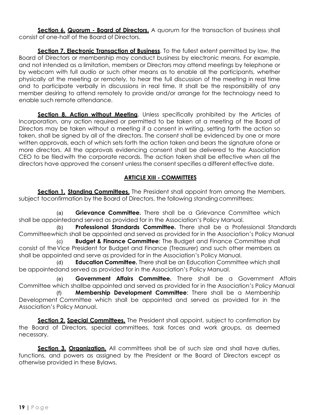**Section 6. Quorum - Board of Directors.** A quorum for the transaction of business shall consist of one- half of the Board of Directors.

Section 7. Electronic Transaction of Business. To the fullest extent permitted by law, the Board of Directors or membership may conduct business by electronic means. For example, and not intended as a limitation, members or Directors may attend meetings by telephone or by webcam with full audio or such other means as to enable all the participants, whether physically at the meeting or remotely, to hear the full discussion of the meeting in real time and to participate verbally in discussions in real time. It shall be the responsibility of any member desiring to attend remotely to provide and/or arrange for the technology need to enable such remote attendance.

**Section 8. Action without Meeting**. Unless specifically prohibited by the Articles of Incorporation, any action required or permitted to be taken at a meeting of the Board of Directors may be taken without a meeting if a consent in writing, setting forth the action so taken, shall be signed by all of the directors. The consent shall be evidenced by one or more written approvals, each of which sets forth the action taken and bears the signature ofone or more directors. All the approvals evidencing consent shall be delivered to the Association CEO to be filedwith the corporate records. The action taken shall be effective when all the directors have approved the consent unless the consent specifies a different effective date.

# **ARTICLE XIII - COMMITTEES**

**Section 1. Standing Committees.** The President shall appoint from among the Members, subject toconfirmation by the Board of Directors, the following standing committees:

(a) **Grievance Committee.** There shall be a Grievance Committee which shall be appointedand served as provided for in the Association's Policy Manual.

(b) **Professional Standards Committee.** There shall be a Professional Standards Committeewhich shall be appointed and served as provided for in the Association's Policy Manual

(c) **Budget & Finance Committee**: The Budget and Finance Committee shall consist of theVice President for Budget and Finance (Treasurer) and such other members as shall be appointed and serve as provided for in the Association's Policy Manual.

**Education Committee.** There shall be an Education Committee which shall be appointedand served as provided for in the Association's Policy Manual.

(e) **Government Affairs Committee.** There shall be a Government Affairs Committee which shallbe appointed and served as provided for in the Association's Policy Manual

(f) **Membership Development Committee**: There shall be a Membership Development Committee which shall be appointed and served as provided for in the Association's Policy Manual.

**Section 2. Special Committees.** The President shall appoint, subject to confirmation by the Board of Directors, special committees, task forces and work groups, as deemed necessary.

**Section 3. Organization.** All committees shall be of such size and shall have duties, functions, and powers as assigned by the President or the Board of Directors except as otherwise provided in these Bylaws.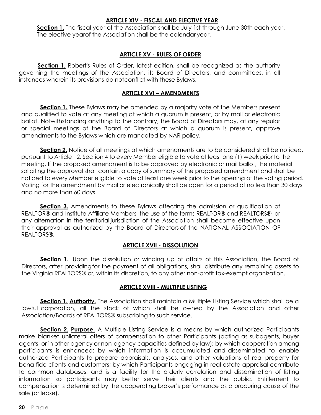## **ARTICLE XIV - FISCAL AND ELECTIVE YEAR**

**Section 1.** The fiscal year of the Association shall be July 1st through June 30th each year. The elective yearof the Association shall be the calendar year.

# **ARTICLE XV - RULES OF ORDER**

**Section 1.** Robert's Rules of Order, latest edition, shall be recognized as the authority governing the meetings of the Association, its Board of Directors, and committees, in all instances wherein its provisions do notconflict with these Bylaws.

## **ARTICLE XVI – AMENDMENTS**

**Section 1.** These Bylaws may be amended by a majority vote of the Members present and qualified to vote at any meeting at which a quorum is present, or by mail or electronic ballot. Notwithstanding anything to the contrary, the Board of Directors may, at any regular or special meetings of the Board of Directors at which a quorum is present, approve amendments to the Bylaws which are mandated by NAR policy.

**Section 2.** Notice of all meetings at which amendments are to be considered shall be noticed, pursuant to Article 12, Section 4 to every Member eligible to vote at least one (1) week prior to the meeting. If the proposed amendment is to be approved by electronic or mail ballot, the material soliciting the approval shall contain a copy of summary of the proposed amendment and shall be noticed to every Member eligible to vote at least one week prior to the opening of the voting period. Voting for the amendment by mail or electronically shall be open for a period of no less than 30 days and no more than 60 days.

**Section 3.** Amendments to these Bylaws affecting the admission or qualification of REALTOR® and Institute Affiliate Members, the use of the terms REALTOR® and REALTORS®, or any alternation in the territorial jurisdiction of the Association shall become effective upon their approval as authorized by the Board of Directors of the NATIONAL ASSOCIATION OF REALTORS®.

# **ARTICLE XVII - DISSOLUTION**

**Section 1.** Upon the dissolution or winding up of affairs of this Association, the Board of Directors, after providingfor the payment of all obligations, shall distribute any remaining assets to the Virginia REALTORS® or, within its discretion, to any other non-profit tax-exempt organization.

## **ARTICLE XVIII - MULTIPLE LISTING**

**Section 1. Authority.** The Association shall maintain a Multiple Listing Service which shall be a lawful corporation, all the stock of which shall be owned by the Association and other Association/Boards of REALTORS® subscribing to such service.

**Section 2. Purpose.** A Multiple Listing Service is a means by which authorized Participants make blanket unilateral offers of compensation to other Participants (acting as subagents, buyer agents, or in other agency or non-agency capacities defined by law); by which cooperation among participants is enhanced; by which information is accumulated and disseminated to enable authorized Participants to prepare appraisals, analyses, and other valuations of real property for bona fide clients and customers; by which Participants engaging in real estate appraisal contribute to common databases; and is a facility for the orderly correlation and dissemination of listing information so participants may better serve their clients and the public. Entitlement to compensation is determined by the cooperating broker's performance as a procuring cause of the sale (or lease).